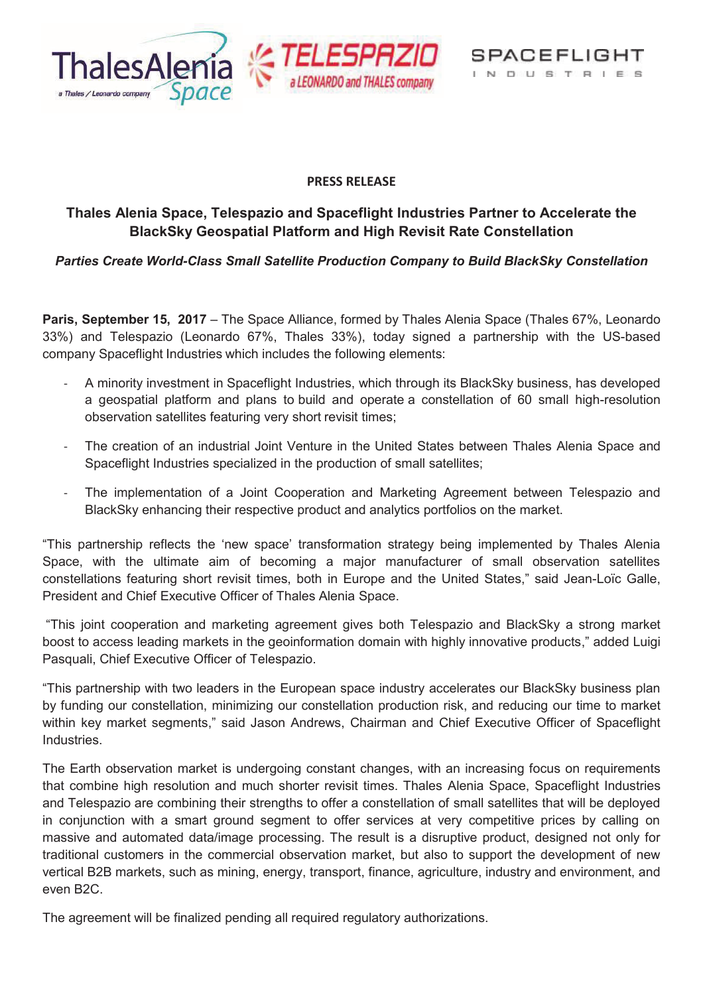

SPACEFLIGHT INDUSTRIES

# **PRESS RELEASE**

# **Thales Alenia Space, Telespazio and Spaceflight Industries Partner to Accelerate the BlackSky Geospatial Platform and High Revisit Rate Constellation**

*Parties Create World-Class Small Satellite Production Company to Build BlackSky Constellation* 

**Paris, September 15, 2017** – The Space Alliance, formed by Thales Alenia Space (Thales 67%, Leonardo 33%) and Telespazio (Leonardo 67%, Thales 33%), today signed a partnership with the US-based company Spaceflight Industries which includes the following elements:

- A minority investment in Spaceflight Industries, which through its BlackSky business, has developed a geospatial platform and plans to build and operate a constellation of 60 small high-resolution observation satellites featuring very short revisit times;
- The creation of an industrial Joint Venture in the United States between Thales Alenia Space and Spaceflight Industries specialized in the production of small satellites;
- The implementation of a Joint Cooperation and Marketing Agreement between Telespazio and BlackSky enhancing their respective product and analytics portfolios on the market.

"This partnership reflects the 'new space' transformation strategy being implemented by Thales Alenia Space, with the ultimate aim of becoming a major manufacturer of small observation satellites constellations featuring short revisit times, both in Europe and the United States," said Jean-Loïc Galle, President and Chief Executive Officer of Thales Alenia Space.

"This joint cooperation and marketing agreement gives both Telespazio and BlackSky a strong market boost to access leading markets in the geoinformation domain with highly innovative products," added Luigi Pasquali, Chief Executive Officer of Telespazio.

"This partnership with two leaders in the European space industry accelerates our BlackSky business plan by funding our constellation, minimizing our constellation production risk, and reducing our time to market within key market segments," said Jason Andrews, Chairman and Chief Executive Officer of Spaceflight Industries.

The Earth observation market is undergoing constant changes, with an increasing focus on requirements that combine high resolution and much shorter revisit times. Thales Alenia Space, Spaceflight Industries and Telespazio are combining their strengths to offer a constellation of small satellites that will be deployed in conjunction with a smart ground segment to offer services at very competitive prices by calling on massive and automated data/image processing. The result is a disruptive product, designed not only for traditional customers in the commercial observation market, but also to support the development of new vertical B2B markets, such as mining, energy, transport, finance, agriculture, industry and environment, and even B2C.

The agreement will be finalized pending all required regulatory authorizations.